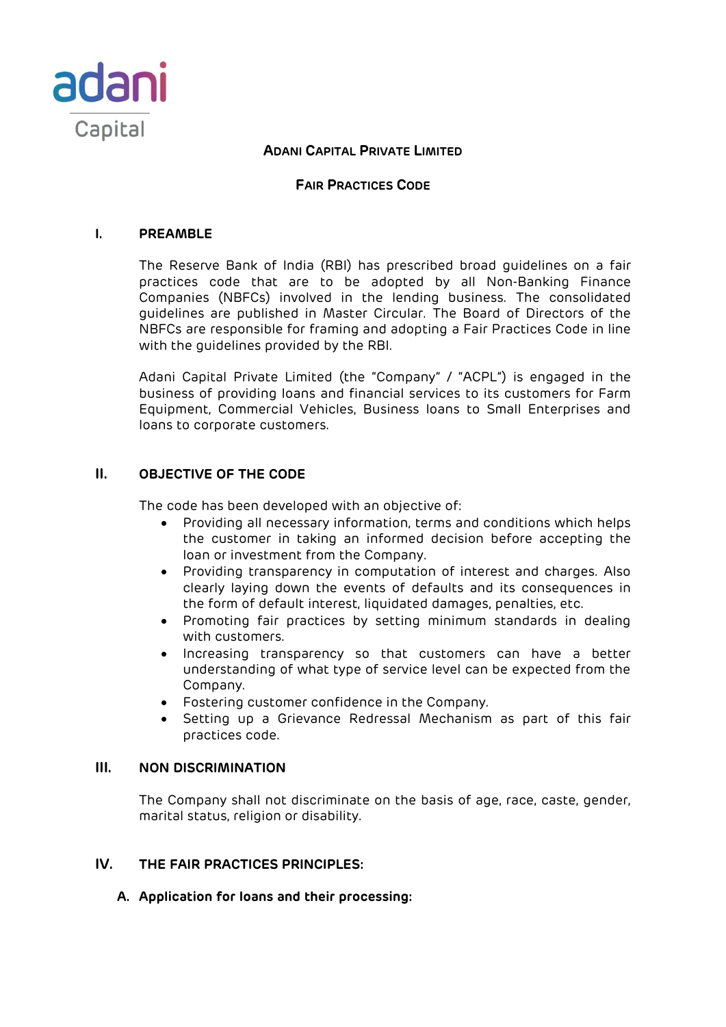

### **FAIR PRACTICES CODE**

#### **I. PREAMBLE**

The Reserve Bank of India (RBI) has prescribed broad guidelines on a fair practices code that are to be adopted by all Non-Banking Finance Companies (NBFCs) involved in the lending business. The consolidated guidelines are published in Master Circular. The Board of Directors of the NBFCs are responsible for framing and adopting a Fair Practices Code in line with the guidelines provided by the RBI.

Adani Capital Private Limited (the "Company" / "ACPL") is engaged in the business of providing loans and financial services to its customers for Farm Equipment, Commercial Vehicles, Business loans to Small Enterprises and loans to corporate customers.

### **II. OBJECTIVE OF THE CODE**

The code has been developed with an objective of:

- Providing all necessary information, terms and conditions which helps the customer in taking an informed decision before accepting the loan or investment from the Company.
- Providing transparency in computation of interest and charges. Also clearly laying down the events of defaults and its consequences in the form of default interest, liquidated damages, penalties, etc.
- Promoting fair practices by setting minimum standards in dealing with customers.
- Increasing transparency so that customers can have a better understanding of what type of service level can be expected from the Company.
- Fostering customer confidence in the Company.
- Setting up a Grievance Redressal Mechanism as part of this fair practices code.

### **III. NON DISCRIMINATION**

The Company shall not discriminate on the basis of age, race, caste, gender, marital status, religion or disability.

### **IV. THE FAIR PRACTICES PRINCIPLES:**

**A. Application for loans and their processing:**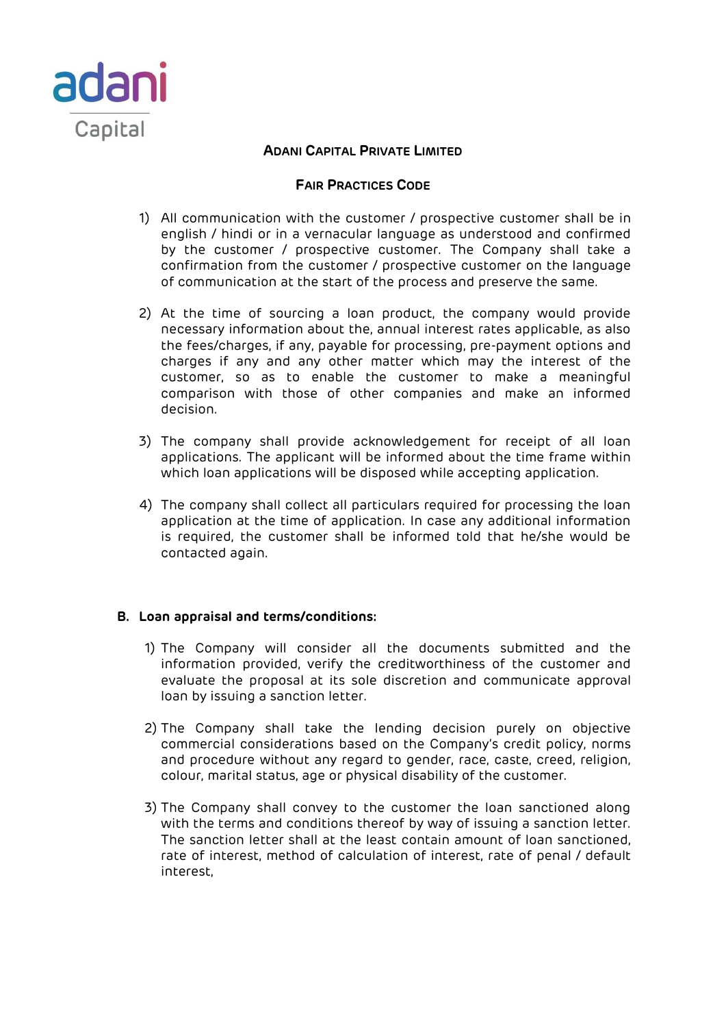

# **FAIR PRACTICES CODE**

- 1) All communication with the customer / prospective customer shall be in english / hindi or in a vernacular language as understood and confirmed by the customer / prospective customer. The Company shall take a confirmation from the customer / prospective customer on the language of communication at the start of the process and preserve the same.
- 2) At the time of sourcing a loan product, the company would provide necessary information about the, annual interest rates applicable, as also the fees/charges, if any, payable for processing, pre-payment options and charges if any and any other matter which may the interest of the customer, so as to enable the customer to make a meaningful comparison with those of other companies and make an informed decision.
- 3) The company shall provide acknowledgement for receipt of all loan applications. The applicant will be informed about the time frame within which loan applications will be disposed while accepting application.
- 4) The company shall collect all particulars required for processing the loan application at the time of application. In case any additional information is required, the customer shall be informed told that he/she would be contacted again.

### **B. Loan appraisal and terms/conditions:**

- 1) The Company will consider all the documents submitted and the information provided, verify the creditworthiness of the customer and evaluate the proposal at its sole discretion and communicate approval loan by issuing a sanction letter.
- 2) The Company shall take the lending decision purely on objective commercial considerations based on the Company's credit policy, norms and procedure without any regard to gender, race, caste, creed, religion, colour, marital status, age or physical disability of the customer.
- 3) The Company shall convey to the customer the loan sanctioned along with the terms and conditions thereof by way of issuing a sanction letter. The sanction letter shall at the least contain amount of loan sanctioned, rate of interest, method of calculation of interest, rate of penal / default interest,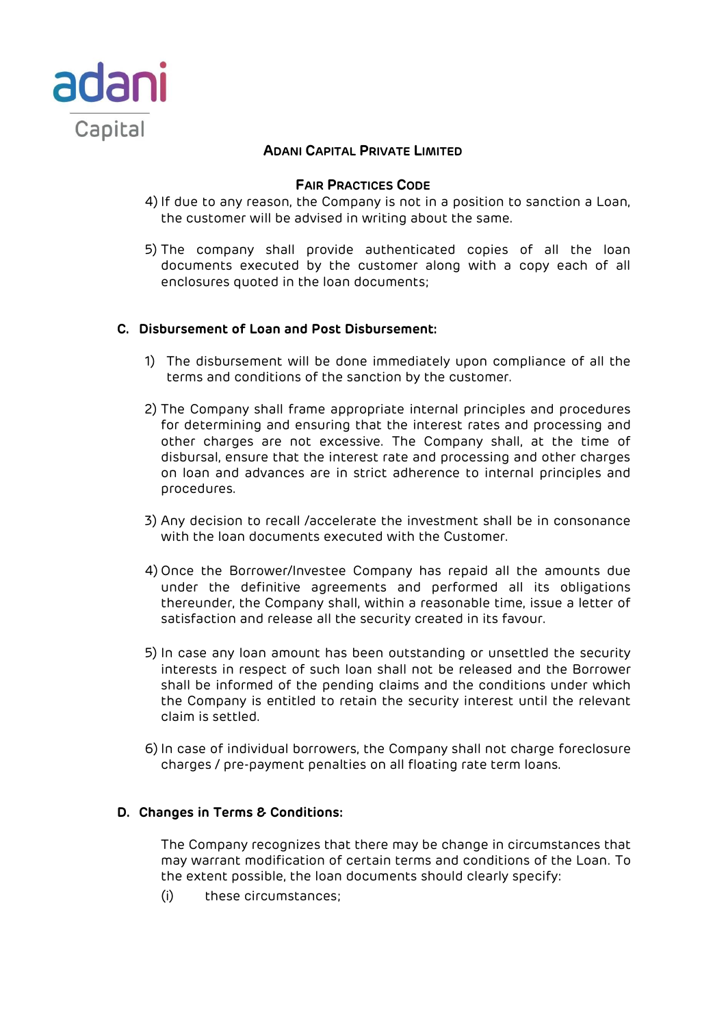

### **FAIR PRACTICES CODE**

- 4) If due to any reason, the Company is not in a position to sanction a Loan, the customer will be advised in writing about the same.
- 5) The company shall provide authenticated copies of all the loan documents executed by the customer along with a copy each of all enclosures quoted in the loan documents;

### **C. Disbursement of Loan and Post Disbursement:**

- 1) The disbursement will be done immediately upon compliance of all the terms and conditions of the sanction by the customer.
- 2) The Company shall frame appropriate internal principles and procedures for determining and ensuring that the interest rates and processing and other charges are not excessive. The Company shall, at the time of disbursal, ensure that the interest rate and processing and other charges on loan and advances are in strict adherence to internal principles and procedures.
- 3) Any decision to recall /accelerate the investment shall be in consonance with the loan documents executed with the Customer.
- 4) Once the Borrower/Investee Company has repaid all the amounts due under the definitive agreements and performed all its obligations thereunder, the Company shall, within a reasonable time, issue a letter of satisfaction and release all the security created in its favour.
- 5) In case any loan amount has been outstanding or unsettled the security interests in respect of such loan shall not be released and the Borrower shall be informed of the pending claims and the conditions under which the Company is entitled to retain the security interest until the relevant claim is settled.
- 6) In case of individual borrowers, the Company shall not charge foreclosure charges / pre-payment penalties on all floating rate term loans.

### **D. Changes in Terms & Conditions:**

The Company recognizes that there may be change in circumstances that may warrant modification of certain terms and conditions of the Loan. To the extent possible, the loan documents should clearly specify:

(i) these circumstances;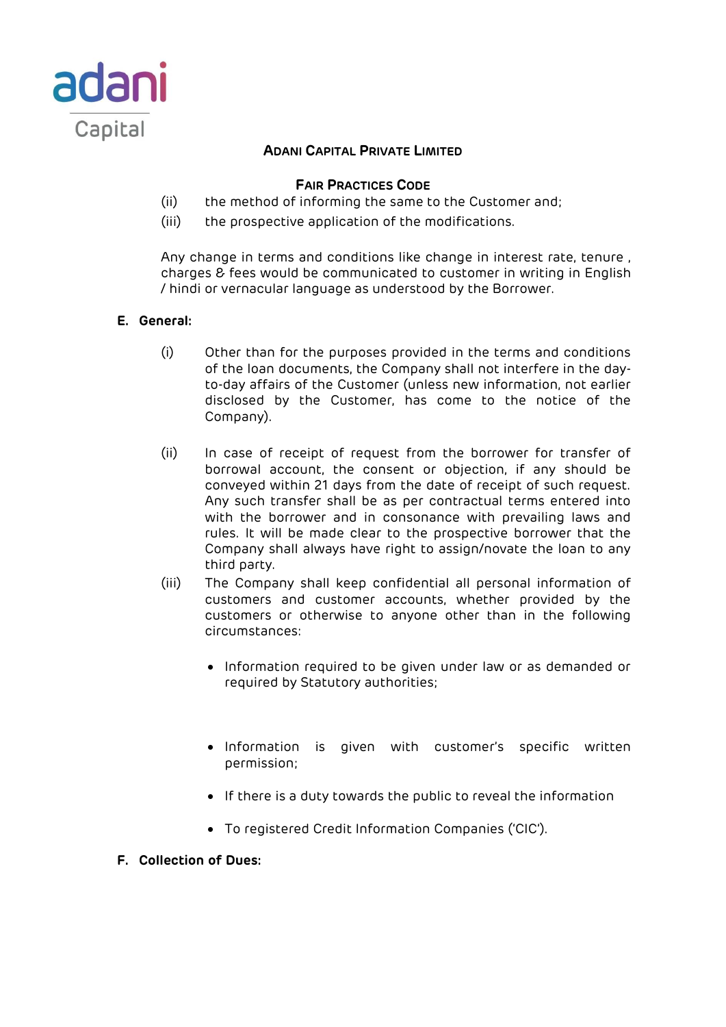

# **FAIR PRACTICES CODE**

- (ii) the method of informing the same to the Customer and;
- (iii) the prospective application of the modifications.

Any change in terms and conditions like change in interest rate, tenure , charges & fees would be communicated to customer in writing in English / hindi or vernacular language as understood by the Borrower.

# **E. General:**

- (i) Other than for the purposes provided in the terms and conditions of the loan documents, the Company shall not interfere in the dayto-day affairs of the Customer (unless new information, not earlier disclosed by the Customer, has come to the notice of the Company).
- (ii) In case of receipt of request from the borrower for transfer of borrowal account, the consent or objection, if any should be conveyed within 21 days from the date of receipt of such request. Any such transfer shall be as per contractual terms entered into with the borrower and in consonance with prevailing laws and rules. It will be made clear to the prospective borrower that the Company shall always have right to assign/novate the loan to any third party.
- (iii) The Company shall keep confidential all personal information of customers and customer accounts, whether provided by the customers or otherwise to anyone other than in the following circumstances:
	- Information required to be given under law or as demanded or required by Statutory authorities;
	- Information is given with customer's specific written permission;
	- If there is a duty towards the public to reveal the information
	- To registered Credit Information Companies ('CIC').
- **F. Collection of Dues:**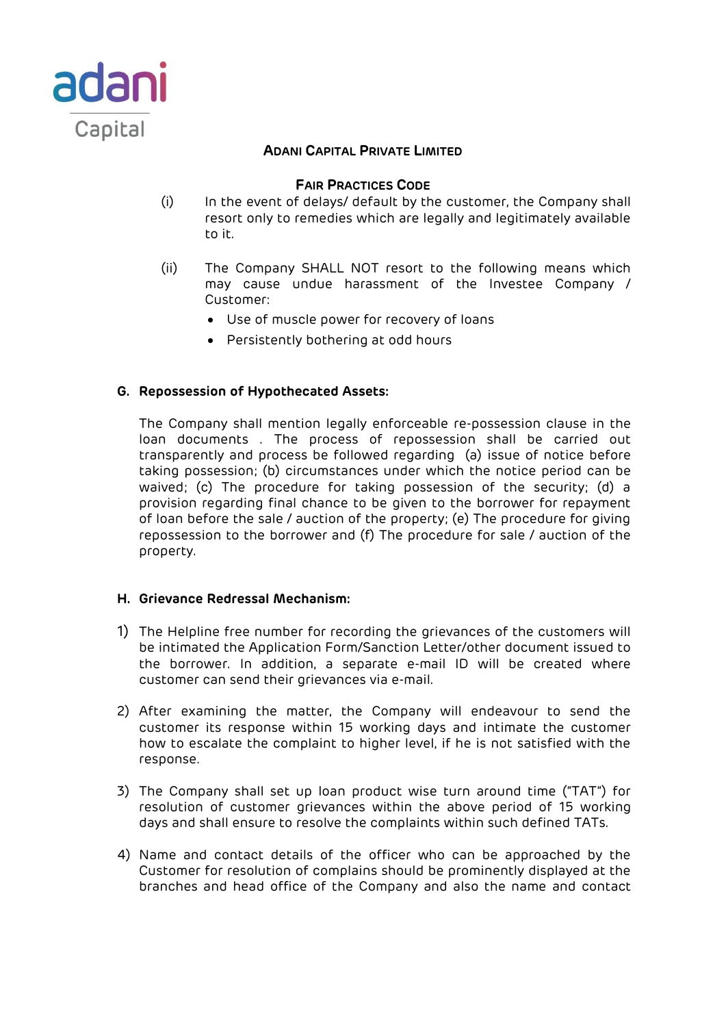

### **FAIR PRACTICES CODE**

- (i) In the event of delays/ default by the customer, the Company shall resort only to remedies which are legally and legitimately available to it.
- (ii) The Company SHALL NOT resort to the following means which may cause undue harassment of the Investee Company / Customer:
	- Use of muscle power for recovery of loans
	- Persistently bothering at odd hours

### **G. Repossession of Hypothecated Assets:**

The Company shall mention legally enforceable re-possession clause in the loan documents . The process of repossession shall be carried out transparently and process be followed regarding (a) issue of notice before taking possession; (b) circumstances under which the notice period can be waived; (c) The procedure for taking possession of the security; (d) a provision regarding final chance to be given to the borrower for repayment of loan before the sale / auction of the property; (e) The procedure for giving repossession to the borrower and (f) The procedure for sale / auction of the property.

#### **H. Grievance Redressal Mechanism:**

- 1) The Helpline free number for recording the grievances of the customers will be intimated the Application Form/Sanction Letter/other document issued to the borrower. In addition, a separate e-mail ID will be created where customer can send their grievances via e-mail.
- 2) After examining the matter, the Company will endeavour to send the customer its response within 15 working days and intimate the customer how to escalate the complaint to higher level, if he is not satisfied with the response.
- 3) The Company shall set up loan product wise turn around time ("TAT") for resolution of customer grievances within the above period of 15 working days and shall ensure to resolve the complaints within such defined TATs.
- 4) Name and contact details of the officer who can be approached by the Customer for resolution of complains should be prominently displayed at the branches and head office of the Company and also the name and contact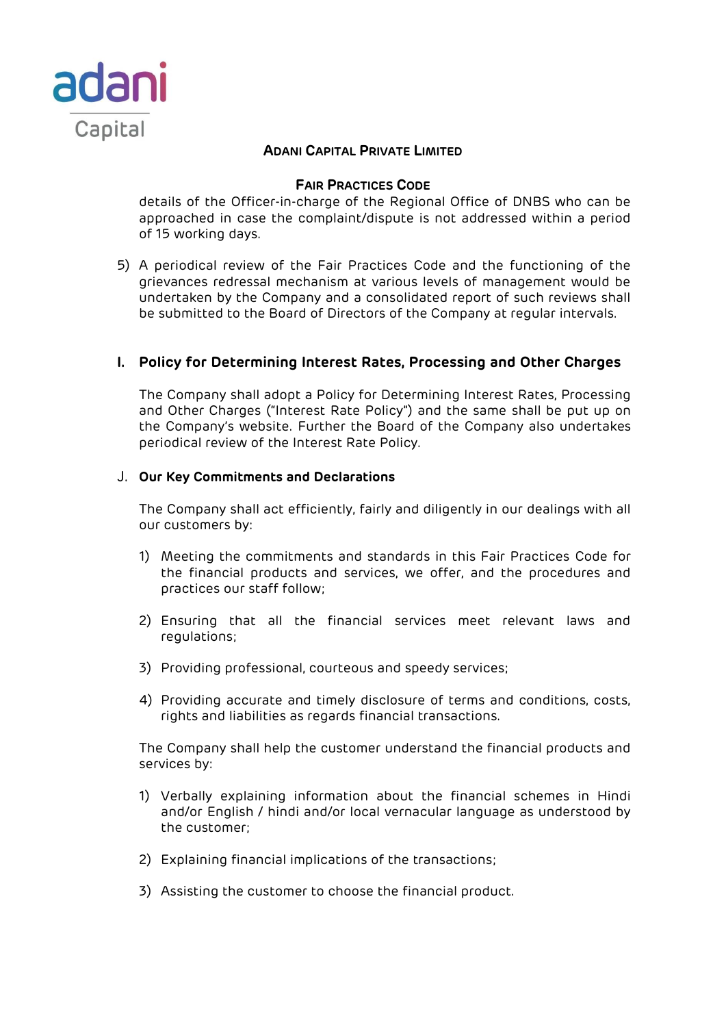

### **FAIR PRACTICES CODE**

details of the Officer-in-charge of the Regional Office of DNBS who can be approached in case the complaint/dispute is not addressed within a period of 15 working days.

5) A periodical review of the Fair Practices Code and the functioning of the grievances redressal mechanism at various levels of management would be undertaken by the Company and a consolidated report of such reviews shall be submitted to the Board of Directors of the Company at regular intervals.

# **I. Policy for Determining Interest Rates, Processing and Other Charges**

The Company shall adopt a Policy for Determining Interest Rates, Processing and Other Charges ("Interest Rate Policy") and the same shall be put up on the Company's website. Further the Board of the Company also undertakes periodical review of the Interest Rate Policy.

### J. **Our Key Commitments and Declarations**

The Company shall act efficiently, fairly and diligently in our dealings with all our customers by:

- 1) Meeting the commitments and standards in this Fair Practices Code for the financial products and services, we offer, and the procedures and practices our staff follow;
- 2) Ensuring that all the financial services meet relevant laws and regulations;
- 3) Providing professional, courteous and speedy services;
- 4) Providing accurate and timely disclosure of terms and conditions, costs, rights and liabilities as regards financial transactions.

The Company shall help the customer understand the financial products and services by:

- 1) Verbally explaining information about the financial schemes in Hindi and/or English / hindi and/or local vernacular language as understood by the customer;
- 2) Explaining financial implications of the transactions;
- 3) Assisting the customer to choose the financial product.